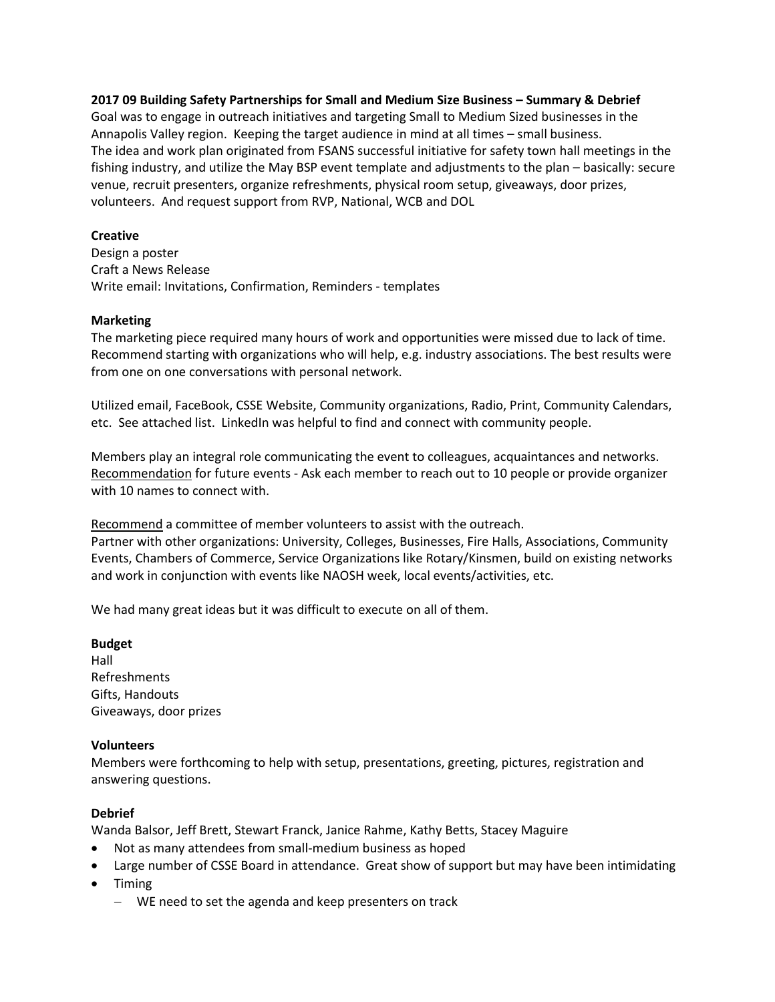**2017 09 Building Safety Partnerships for Small and Medium Size Business – Summary & Debrief** Goal was to engage in outreach initiatives and targeting Small to Medium Sized businesses in the Annapolis Valley region. Keeping the target audience in mind at all times – small business. The idea and work plan originated from FSANS successful initiative for safety town hall meetings in the fishing industry, and utilize the May BSP event template and adjustments to the plan – basically: secure venue, recruit presenters, organize refreshments, physical room setup, giveaways, door prizes, volunteers. And request support from RVP, National, WCB and DOL

### **Creative**

Design a poster Craft a News Release Write email: Invitations, Confirmation, Reminders - templates

#### **Marketing**

The marketing piece required many hours of work and opportunities were missed due to lack of time. Recommend starting with organizations who will help, e.g. industry associations. The best results were from one on one conversations with personal network.

Utilized email, FaceBook, CSSE Website, Community organizations, Radio, Print, Community Calendars, etc. See attached list. LinkedIn was helpful to find and connect with community people.

Members play an integral role communicating the event to colleagues, acquaintances and networks. Recommendation for future events - Ask each member to reach out to 10 people or provide organizer with 10 names to connect with.

Recommend a committee of member volunteers to assist with the outreach. Partner with other organizations: University, Colleges, Businesses, Fire Halls, Associations, Community Events, Chambers of Commerce, Service Organizations like Rotary/Kinsmen, build on existing networks and work in conjunction with events like NAOSH week, local events/activities, etc.

We had many great ideas but it was difficult to execute on all of them.

# **Budget**

Hall Refreshments Gifts, Handouts Giveaways, door prizes

### **Volunteers**

Members were forthcoming to help with setup, presentations, greeting, pictures, registration and answering questions.

## **Debrief**

Wanda Balsor, Jeff Brett, Stewart Franck, Janice Rahme, Kathy Betts, Stacey Maguire

- Not as many attendees from small-medium business as hoped
- Large number of CSSE Board in attendance. Great show of support but may have been intimidating
- Timing
	- WE need to set the agenda and keep presenters on track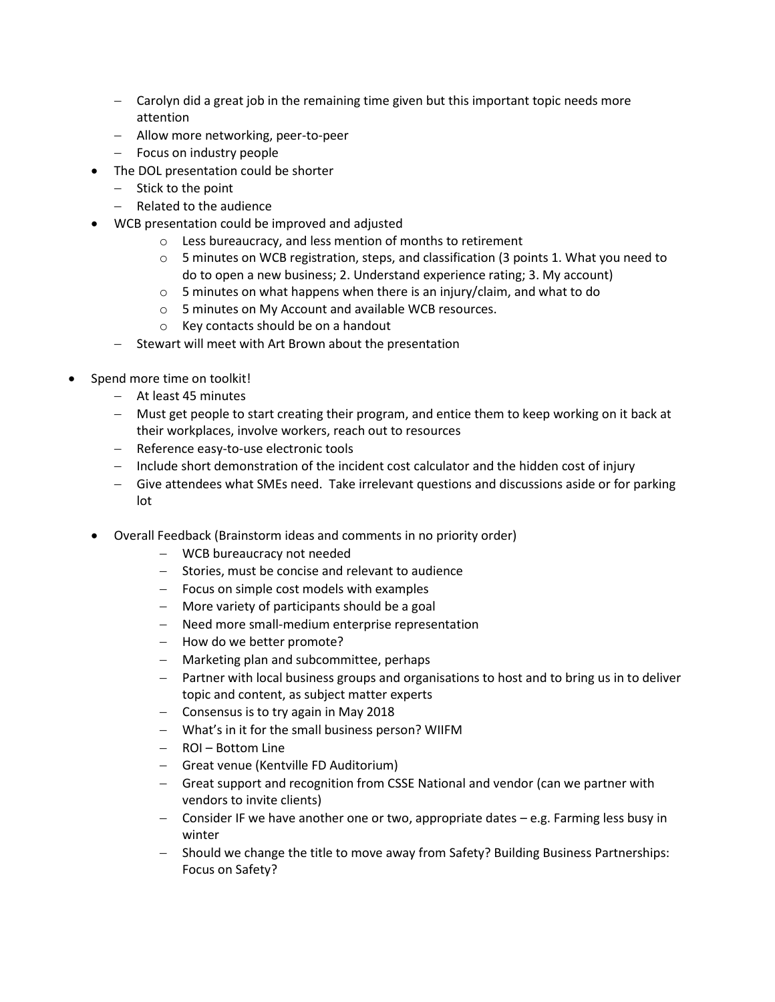- Carolyn did a great job in the remaining time given but this important topic needs more attention
- Allow more networking, peer-to-peer
- Focus on industry people
- The DOL presentation could be shorter
	- $-$  Stick to the point
	- Related to the audience
- WCB presentation could be improved and adjusted
	- o Less bureaucracy, and less mention of months to retirement
	- $\circ$  5 minutes on WCB registration, steps, and classification (3 points 1. What you need to do to open a new business; 2. Understand experience rating; 3. My account)
	- o 5 minutes on what happens when there is an injury/claim, and what to do
	- o 5 minutes on My Account and available WCB resources.
	- o Key contacts should be on a handout
	- $-$  Stewart will meet with Art Brown about the presentation
- Spend more time on toolkit!
	- At least 45 minutes
	- Must get people to start creating their program, and entice them to keep working on it back at their workplaces, involve workers, reach out to resources
	- Reference easy-to-use electronic tools
	- Include short demonstration of the incident cost calculator and the hidden cost of injury
	- Give attendees what SMEs need. Take irrelevant questions and discussions aside or for parking lot
	- Overall Feedback (Brainstorm ideas and comments in no priority order)
		- WCB bureaucracy not needed
		- $-$  Stories, must be concise and relevant to audience
		- $-$  Focus on simple cost models with examples
		- More variety of participants should be a goal
		- Need more small-medium enterprise representation
		- How do we better promote?
		- Marketing plan and subcommittee, perhaps
		- Partner with local business groups and organisations to host and to bring us in to deliver topic and content, as subject matter experts
		- Consensus is to try again in May 2018
		- What's in it for the small business person? WIIFM
		- ROI Bottom Line
		- Great venue (Kentville FD Auditorium)
		- Great support and recognition from CSSE National and vendor (can we partner with vendors to invite clients)
		- Consider IF we have another one or two, appropriate dates e.g. Farming less busy in winter
		- Should we change the title to move away from Safety? Building Business Partnerships: Focus on Safety?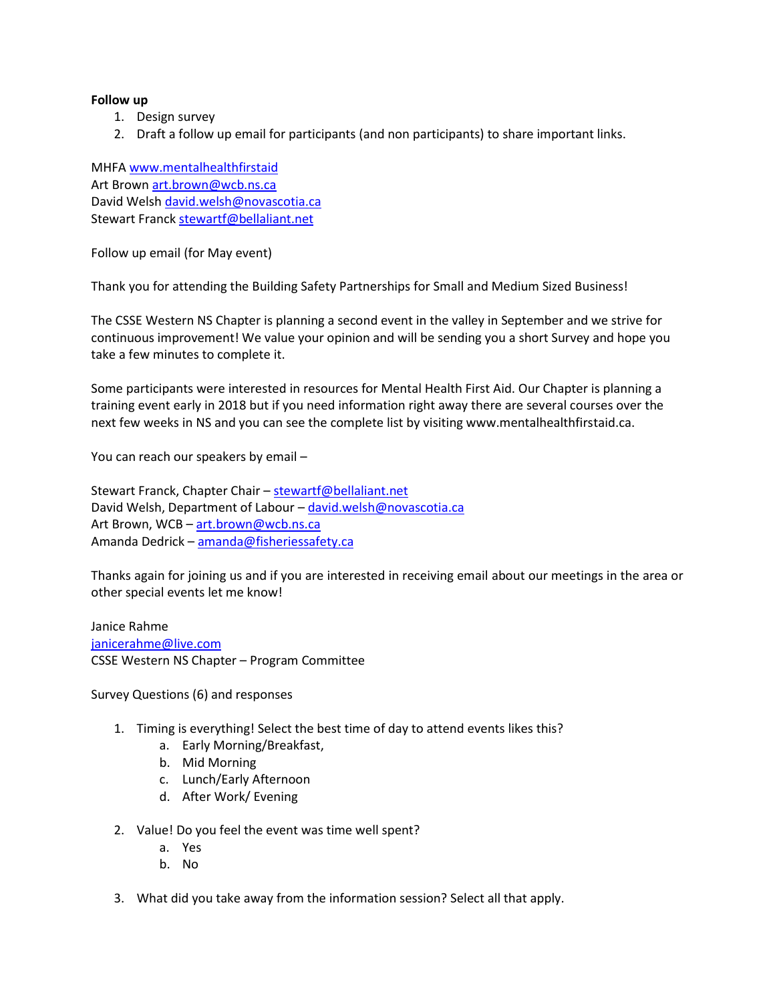#### **Follow up**

- 1. Design survey
- 2. Draft a follow up email for participants (and non participants) to share important links.

MHFA [www.mentalhealthfirstaid](http://www.mentalhealthfirstaid/) Art Brown [art.brown@wcb.ns.ca](mailto:art.brown@wcb.ns.ca) David Welsh [david.welsh@novascotia.ca](mailto:david.welsh@novascotia.ca) Stewart Franc[k stewartf@bellaliant.net](mailto:stewartf@bellaliant.net)

Follow up email (for May event)

Thank you for attending the Building Safety Partnerships for Small and Medium Sized Business!

The CSSE Western NS Chapter is planning a second event in the valley in September and we strive for continuous improvement! We value your opinion and will be sending you a short Survey and hope you take a few minutes to complete it.

Some participants were interested in resources for Mental Health First Aid. Our Chapter is planning a training event early in 2018 but if you need information right away there are several courses over the next few weeks in NS and you can see the complete list by visiting www.mentalhealthfirstaid.ca.

You can reach our speakers by email –

Stewart Franck, Chapter Chair – [stewartf@bellaliant.net](mailto:stewartf@bellaliant.net) David Welsh, Department of Labour - [david.welsh@novascotia.ca](mailto:david.welsh@novascotia.ca) Art Brown, WCB – [art.brown@wcb.ns.ca](mailto:art.brown@wcb.ns.ca) Amanda Dedrick – [amanda@fisheriessafety.ca](mailto:amanda@fisheriessafety.ca)

Thanks again for joining us and if you are interested in receiving email about our meetings in the area or other special events let me know!

Janice Rahme [janicerahme@live.com](mailto:janicerahme@live.com) CSSE Western NS Chapter – Program Committee

Survey Questions (6) and responses

- 1. Timing is everything! Select the best time of day to attend events likes this?
	- a. Early Morning/Breakfast,
	- b. Mid Morning
	- c. Lunch/Early Afternoon
	- d. After Work/ Evening
- 2. Value! Do you feel the event was time well spent?
	- a. Yes
	- b. No
- 3. What did you take away from the information session? Select all that apply.